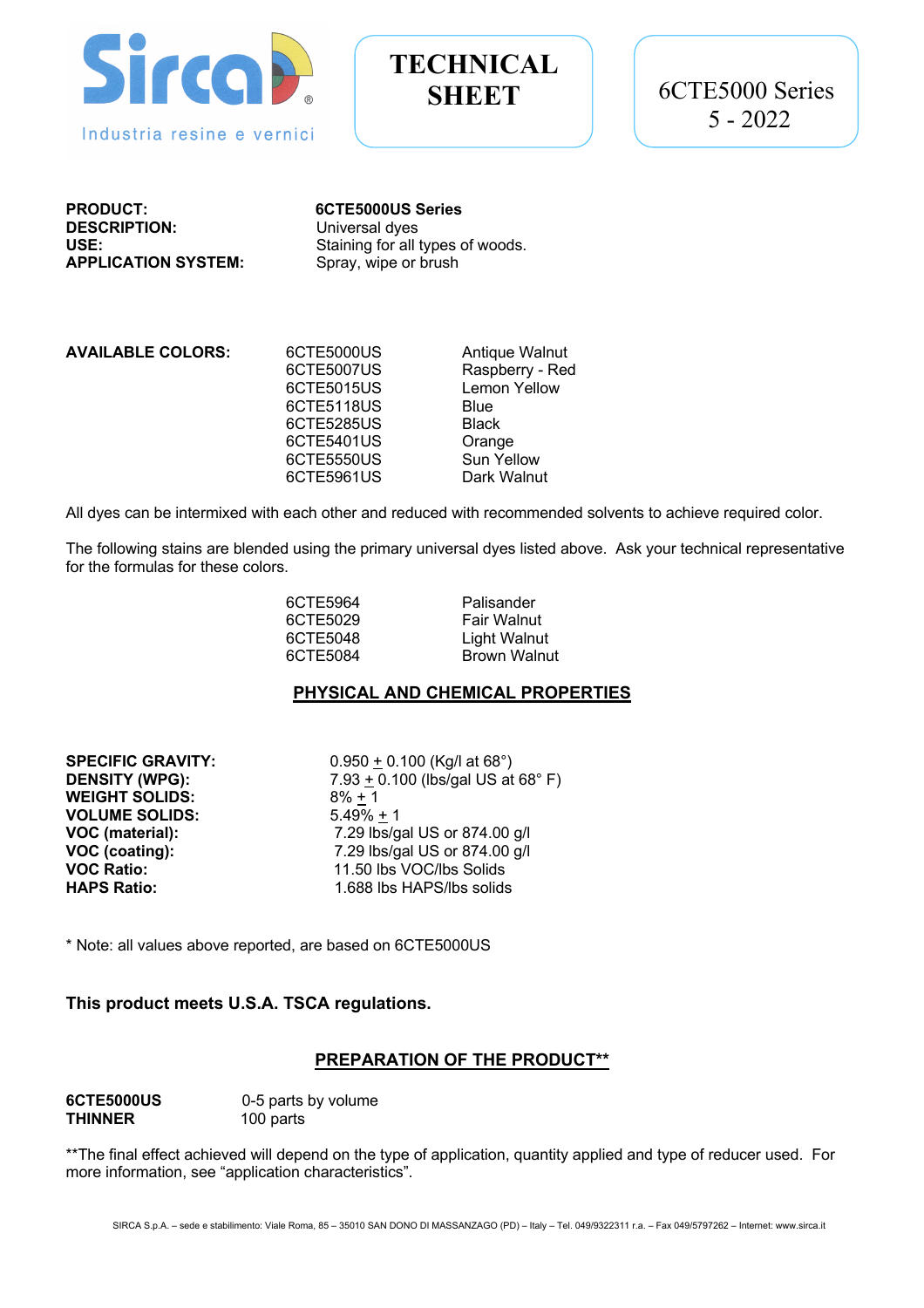

# **TECHNICAL**

**PRODUCT: 6CTE5000US Series DESCRIPTION:** Universal dyes **APPLICATION SYSTEM:** 

**USE:** USE:<br> **APPLICATION SYSTEM:** Spray, wipe or brush<br>
Spray, wipe or brush

**AVAILABLE COLORS:** 6CTE5000US Antique Walnut 6CTE5007US Raspberry - Red 6CTE5015US Lemon Yellow 6CTE5118US Blue 6CTE5285US Black 6CTE5401US Orange<br>6CTE5550US Sun Yellow 6CTE5550US 6CTE5961US Dark Walnut

All dyes can be intermixed with each other and reduced with recommended solvents to achieve required color.

The following stains are blended using the primary universal dyes listed above. Ask your technical representative for the formulas for these colors.

6CTE5964 Palisander 6CTE5029 Fair Walnut 6CTE5048 Light Walnut<br>6CTE5084 Brown Walnu Brown Walnut

#### **PHYSICAL AND CHEMICAL PROPERTIES**

**SPECIFIC GRAVITY:** 0.950 + 0.100 (Kg/l at 68°) **WEIGHT SOLIDS:** 8% + 1 **VOLUME SOLIDS:** 5.49% + 1

**DENSITY (WPG):** 7.93 + 0.100 (lbs/gal US at 68° F) **VOC (material):** 7.29 lbs/gal US or 874.00 g/l **VOC (coating):** 7.29 lbs/gal US or 874.00 g/l **VOC Ratio:** 11.50 lbs VOC/lbs Solids **HAPS Ratio:** 1.688 lbs HAPS/lbs solids

\* Note: all values above reported, are based on 6CTE5000US

#### **This product meets U.S.A. TSCA regulations.**

# **PREPARATION OF THE PRODUCT\*\***

| 6CTE5000US     |  |
|----------------|--|
| <b>THINNER</b> |  |

0-5 parts by volume 100 parts

\*\*The final effect achieved will depend on the type of application, quantity applied and type of reducer used. For more information, see "application characteristics".